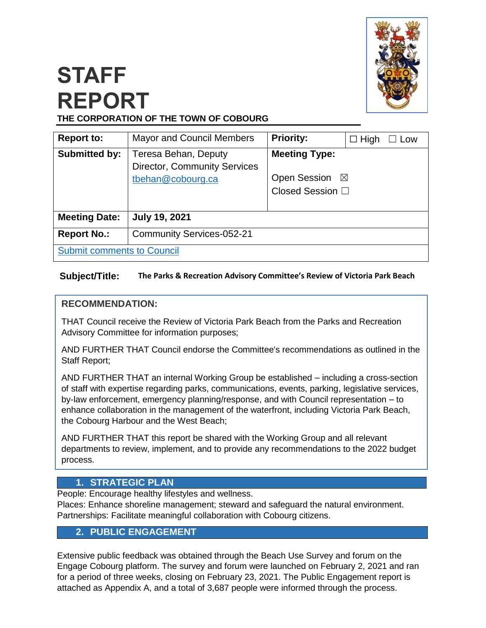

# **STAFF REPORT THE CORPORATION OF THE TOWN OF COBOURG**

| <b>Report to:</b>                 | <b>Mayor and Council Members</b>                                                 | <b>Priority:</b>                                                   | $\Box$ High<br>Low |  |
|-----------------------------------|----------------------------------------------------------------------------------|--------------------------------------------------------------------|--------------------|--|
| <b>Submitted by:</b>              | Teresa Behan, Deputy<br><b>Director, Community Services</b><br>tbehan@cobourg.ca | <b>Meeting Type:</b><br>Open Session ⊠<br>Closed Session $\square$ |                    |  |
| <b>Meeting Date:</b>              | <b>July 19, 2021</b>                                                             |                                                                    |                    |  |
| <b>Report No.:</b>                | <b>Community Services-052-21</b>                                                 |                                                                    |                    |  |
| <b>Submit comments to Council</b> |                                                                                  |                                                                    |                    |  |

#### **Subject/Title: The Parks & Recreation Advisory Committee's Review of Victoria Park Beach**

## **RECOMMENDATION:**

THAT Council receive the Review of Victoria Park Beach from the Parks and Recreation Advisory Committee for information purposes;

AND FURTHER THAT Council endorse the Committee's recommendations as outlined in the Staff Report;

AND FURTHER THAT an internal Working Group be established – including a cross-section of staff with expertise regarding parks, communications, events, parking, legislative services, by-law enforcement, emergency planning/response, and with Council representation – to enhance collaboration in the management of the waterfront, including Victoria Park Beach, the Cobourg Harbour and the West Beach;

AND FURTHER THAT this report be shared with the Working Group and all relevant departments to review, implement, and to provide any recommendations to the 2022 budget process.

# **1. STRATEGIC PLAN**

People: Encourage healthy lifestyles and wellness.

Places: Enhance shoreline management; steward and safeguard the natural environment. Partnerships: Facilitate meaningful collaboration with Cobourg citizens.

## **2. PUBLIC ENGAGEMENT**

Extensive public feedback was obtained through the Beach Use Survey and forum on the Engage Cobourg platform. The survey and forum were launched on February 2, 2021 and ran for a period of three weeks, closing on February 23, 2021. The Public Engagement report is attached as Appendix A, and a total of 3,687 people were informed through the process.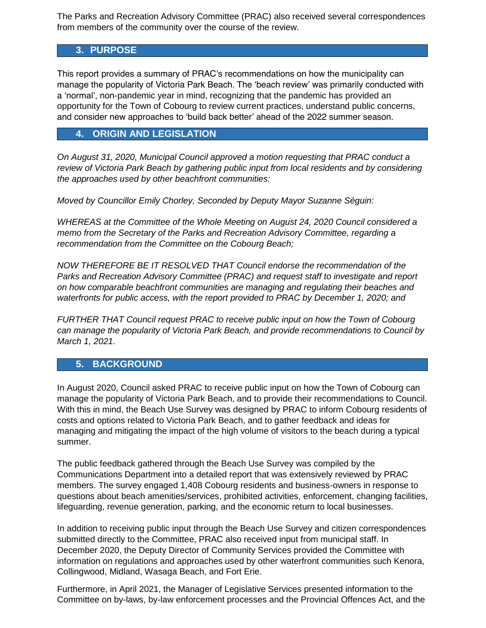The Parks and Recreation Advisory Committee (PRAC) also received several correspondences from members of the community over the course of the review.

# **3. PURPOSE**

This report provides a summary of PRAC's recommendations on how the municipality can manage the popularity of Victoria Park Beach. The 'beach review' was primarily conducted with a 'normal', non-pandemic year in mind, recognizing that the pandemic has provided an opportunity for the Town of Cobourg to review current practices, understand public concerns, and consider new approaches to 'build back better' ahead of the 2022 summer season.

#### **4. ORIGIN AND LEGISLATION**

*On August 31, 2020, Municipal Council approved a motion requesting that PRAC conduct a review of Victoria Park Beach by gathering public input from local residents and by considering the approaches used by other beachfront communities:*

*Moved by Councillor Emily Chorley, Seconded by Deputy Mayor Suzanne Séguin:* 

*WHEREAS at the Committee of the Whole Meeting on August 24, 2020 Council considered a memo from the Secretary of the Parks and Recreation Advisory Committee, regarding a recommendation from the Committee on the Cobourg Beach;* 

*NOW THEREFORE BE IT RESOLVED THAT Council endorse the recommendation of the Parks and Recreation Advisory Committee (PRAC) and request staff to investigate and report on how comparable beachfront communities are managing and regulating their beaches and waterfronts for public access, with the report provided to PRAC by December 1, 2020; and* 

*FURTHER THAT Council request PRAC to receive public input on how the Town of Cobourg can manage the popularity of Victoria Park Beach, and provide recommendations to Council by March 1, 2021.*

#### **5. BACKGROUND**

In August 2020, Council asked PRAC to receive public input on how the Town of Cobourg can manage the popularity of Victoria Park Beach, and to provide their recommendations to Council. With this in mind, the Beach Use Survey was designed by PRAC to inform Cobourg residents of costs and options related to Victoria Park Beach, and to gather feedback and ideas for managing and mitigating the impact of the high volume of visitors to the beach during a typical summer.

The public feedback gathered through the Beach Use Survey was compiled by the Communications Department into a detailed report that was extensively reviewed by PRAC members. The survey engaged 1,408 Cobourg residents and business-owners in response to questions about beach amenities/services, prohibited activities, enforcement, changing facilities, lifeguarding, revenue generation, parking, and the economic return to local businesses.

In addition to receiving public input through the Beach Use Survey and citizen correspondences submitted directly to the Committee, PRAC also received input from municipal staff. In December 2020, the Deputy Director of Community Services provided the Committee with information on regulations and approaches used by other waterfront communities such Kenora, Collingwood, Midland, Wasaga Beach, and Fort Erie.

Furthermore, in April 2021, the Manager of Legislative Services presented information to the Committee on by-laws, by-law enforcement processes and the Provincial Offences Act, and the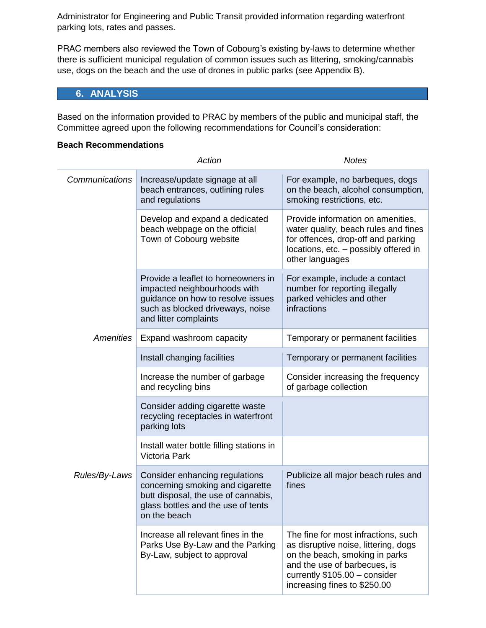Administrator for Engineering and Public Transit provided information regarding waterfront parking lots, rates and passes.

PRAC members also reviewed the Town of Cobourg's existing by-laws to determine whether there is sufficient municipal regulation of common issues such as littering, smoking/cannabis use, dogs on the beach and the use of drones in public parks (see Appendix B).

# **6. ANALYSIS**

Based on the information provided to PRAC by members of the public and municipal staff, the Committee agreed upon the following recommendations for Council's consideration:

#### **Beach Recommendations**

|                  | Action                                                                                                                                                               | <b>Notes</b>                                                                                                                                                                                                   |
|------------------|----------------------------------------------------------------------------------------------------------------------------------------------------------------------|----------------------------------------------------------------------------------------------------------------------------------------------------------------------------------------------------------------|
| Communications   | Increase/update signage at all<br>beach entrances, outlining rules<br>and regulations                                                                                | For example, no barbeques, dogs<br>on the beach, alcohol consumption,<br>smoking restrictions, etc.                                                                                                            |
|                  | Develop and expand a dedicated<br>beach webpage on the official<br>Town of Cobourg website                                                                           | Provide information on amenities,<br>water quality, beach rules and fines<br>for offences, drop-off and parking<br>locations, etc. - possibly offered in<br>other languages                                    |
|                  | Provide a leaflet to homeowners in<br>impacted neighbourhoods with<br>guidance on how to resolve issues<br>such as blocked driveways, noise<br>and litter complaints | For example, include a contact<br>number for reporting illegally<br>parked vehicles and other<br>infractions                                                                                                   |
| <b>Amenities</b> | Expand washroom capacity                                                                                                                                             | Temporary or permanent facilities                                                                                                                                                                              |
|                  | Install changing facilities                                                                                                                                          | Temporary or permanent facilities                                                                                                                                                                              |
|                  | Increase the number of garbage<br>and recycling bins                                                                                                                 | Consider increasing the frequency<br>of garbage collection                                                                                                                                                     |
|                  | Consider adding cigarette waste<br>recycling receptacles in waterfront<br>parking lots                                                                               |                                                                                                                                                                                                                |
|                  | Install water bottle filling stations in<br>Victoria Park                                                                                                            |                                                                                                                                                                                                                |
| Rules/By-Laws    | Consider enhancing regulations<br>concerning smoking and cigarette<br>butt disposal, the use of cannabis,<br>glass bottles and the use of tents<br>on the beach      | Publicize all major beach rules and<br>fines                                                                                                                                                                   |
|                  | Increase all relevant fines in the<br>Parks Use By-Law and the Parking<br>By-Law, subject to approval                                                                | The fine for most infractions, such<br>as disruptive noise, littering, dogs<br>on the beach, smoking in parks<br>and the use of barbecues, is<br>currently \$105.00 - consider<br>increasing fines to \$250.00 |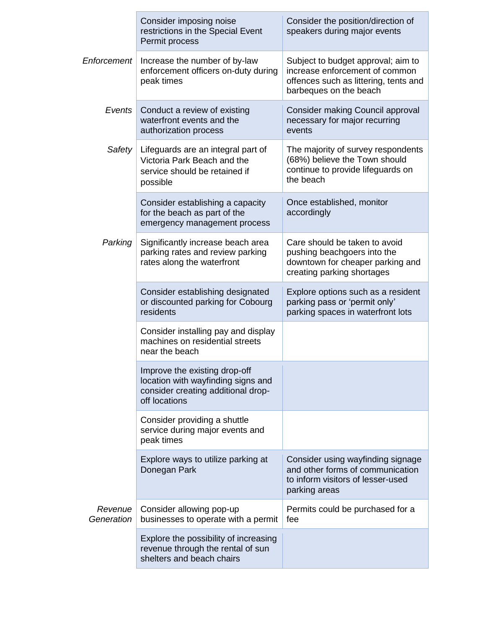|                       | Consider imposing noise<br>restrictions in the Special Event<br>Permit process                                             | Consider the position/direction of<br>speakers during major events                                                                      |
|-----------------------|----------------------------------------------------------------------------------------------------------------------------|-----------------------------------------------------------------------------------------------------------------------------------------|
| Enforcement           | Increase the number of by-law<br>enforcement officers on-duty during<br>peak times                                         | Subject to budget approval; aim to<br>increase enforcement of common<br>offences such as littering, tents and<br>barbeques on the beach |
| Events                | Conduct a review of existing<br>waterfront events and the<br>authorization process                                         | <b>Consider making Council approval</b><br>necessary for major recurring<br>events                                                      |
| Safety                | Lifeguards are an integral part of<br>Victoria Park Beach and the<br>service should be retained if<br>possible             | The majority of survey respondents<br>(68%) believe the Town should<br>continue to provide lifeguards on<br>the beach                   |
|                       | Consider establishing a capacity<br>for the beach as part of the<br>emergency management process                           | Once established, monitor<br>accordingly                                                                                                |
| Parking               | Significantly increase beach area<br>parking rates and review parking<br>rates along the waterfront                        | Care should be taken to avoid<br>pushing beachgoers into the<br>downtown for cheaper parking and<br>creating parking shortages          |
|                       | Consider establishing designated<br>or discounted parking for Cobourg<br>residents                                         | Explore options such as a resident<br>parking pass or 'permit only'<br>parking spaces in waterfront lots                                |
|                       | Consider installing pay and display<br>machines on residential streets<br>near the beach                                   |                                                                                                                                         |
|                       | Improve the existing drop-off<br>location with wayfinding signs and<br>consider creating additional drop-<br>off locations |                                                                                                                                         |
|                       | Consider providing a shuttle<br>service during major events and<br>peak times                                              |                                                                                                                                         |
|                       | Explore ways to utilize parking at<br>Donegan Park                                                                         | Consider using wayfinding signage<br>and other forms of communication<br>to inform visitors of lesser-used<br>parking areas             |
| Revenue<br>Generation | Consider allowing pop-up<br>businesses to operate with a permit                                                            | Permits could be purchased for a<br>fee                                                                                                 |
|                       | Explore the possibility of increasing<br>revenue through the rental of sun<br>shelters and beach chairs                    |                                                                                                                                         |

Ė